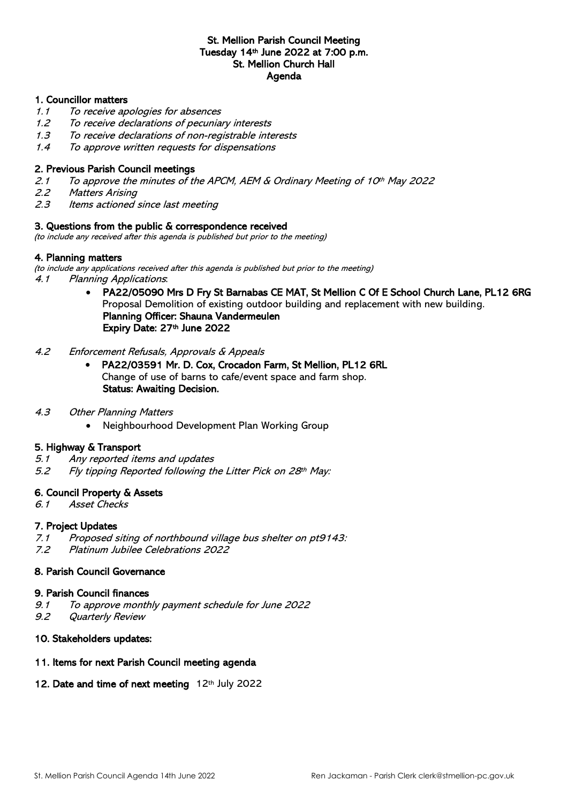## St. Mellion Parish Council Meeting Tuesday 14th June 2022 at 7:00 p.m. St. Mellion Church Hall Agenda

#### 1. Councillor matters

- 1.1 To receive apologies for absences
- 1.2 To receive declarations of pecuniary interests
- 1.3 To receive declarations of non-registrable interests
- 1.4 To approve written requests for dispensations

#### 2. Previous Parish Council meetings

- 2.1 To approve the minutes of the APCM, AEM & Ordinary Meeting of 10<sup>th</sup> May 2022
- 2.2 Matters Arising
- 2.3 Items actioned since last meeting

#### 3. Questions from the public & correspondence received

(to include any received after this agenda is published but prior to the meeting)

#### 4. Planning matters

(to include any applications received after this agenda is published but prior to the meeting) 4.1 Planning Applications:

> • PA22/05090 Mrs D Fry St Barnabas CE MAT, St Mellion C Of E School Church Lane, PL12 6RG Proposal Demolition of existing outdoor building and replacement with new building. Planning Officer: Shauna Vandermeulen Expiry Date: 27th June 2022

#### 4.2 Enforcement Refusals, Approvals & Appeals

- PA22/03591 Mr. D. Cox, Crocadon Farm, St Mellion, PL12 6RL Change of use of barns to cafe/event space and farm shop. Status: Awaiting Decision.
- 4.3 Other Planning Matters
	- Neighbourhood Development Plan Working Group

#### 5. Highway & Transport

- 5.1 Any reported items and updates
- 5.2 Fly tipping Reported following the Litter Pick on 28th May:

#### 6. Council Property & Assets

6.1 Asset Checks

#### 7. Project Updates

- 7.1 Proposed siting of northbound village bus shelter on pt9143:
- 7.2 Platinum Jubilee Celebrations 2022

### 8. Parish Council Governance

#### 9. Parish Council finances

- 9.1 To approve monthly payment schedule for June 2022
- 9.2 Quarterly Review

#### 10. Stakeholders updates:

#### 11. Items for next Parish Council meeting agenda

#### 12. Date and time of next meeting 12th July 2022